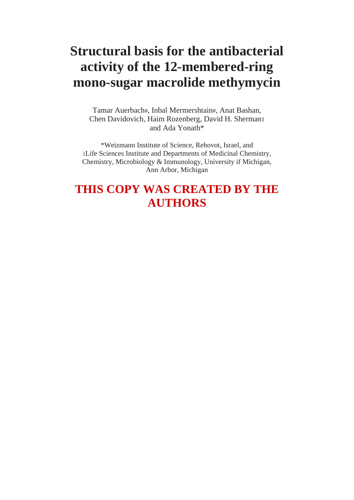# **Structural basis for the antibacterial activity of the 12-membered-ring mono-sugar macrolide methymycin**

Tamar Auerbach#, Inbal Mermershtain#, Anat Bashan, Chen Davidovich, Haim Rozenberg, David H. Sherman1 and Ada Yonath\*

\*Weizmann Institute of Science, Rehovot, Israel, and 1Life Sciences Institute and Departments of Medicinal Chemistry, Chemistry, Microbiology & Immunology, University if Michigan, Ann Arbor, Michigan

# **THIS COPY WAS CREATED BY THE AUTHORS**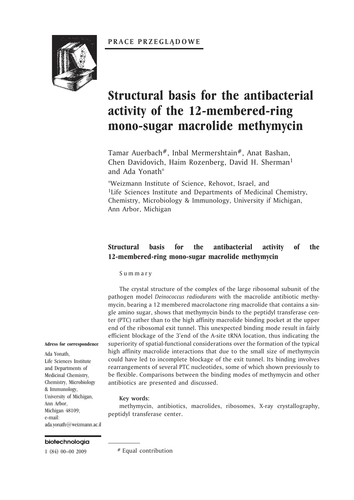### **PRACE PRZEGLADOWE**



# **Structural basis for the antibacterial activity of the 12-membered-ring mono-sugar macrolide methymycin**

Tamar Auerbach<sup>#</sup>, Inbal Mermershtain<sup>#</sup>, Anat Bashan, Chen Davidovich, Haim Rozenberg, David H. Sherman<sup>1</sup> and Ada Yonath\*

\*Weizmann Institute of Science, Rehovot, Israel, and <sup>1</sup>Life Sciences Institute and Departments of Medicinal Chemistry, Chemistry, Microbiology & Immunology, University if Michigan, Ann Arbor, Michigan

## **Structural basis for the antibacterial activity of the 12-membered-ring mono-sugar macrolide methymycin**

S u m m a r y

The crystal structure of the complex of the large ribosomal subunit of the pathogen model *Deinococcus radiodurans* with the macrolide antibiotic methymycin, bearing a 12 membered macrolactone ring macrolide that contains a single amino sugar, shows that methymycin binds to the peptidyl transferase center (PTC) rather than to the high affinity macrolide binding pocket at the upper end of the ribosomal exit tunnel. This unexpected binding mode result in fairly efficient blockage of the 3'end of the A-site tRNA location, thus indicating the superiority of spatial-functional considerations over the formation of the typical high affinity macrolide interactions that due to the small size of methymycin could have led to incomplete blockage of the exit tunnel. Its binding involves rearrangements of several PTC nucleotides, some of which shown previously to be flexible. Comparisons between the binding modes of methymycin and other antibiotics are presented and discussed.

#### **Key words:**

methymycin, antibiotics, macrolides, ribosomes, X-ray crystallography, peptidyl transferase center.

#### **Adress for correspondence**

Ada Yonath, Life Sciences Institute and Departments of Medicinal Chemistry, Chemistry, Microbiology & Immunology, University of Michigan, Ann Arbor, Michigan 48109; e-mail: ada.yonath@weizmann.ac.il

#### biotechnologia

1 (84) 00–00 2009 # Equal contribution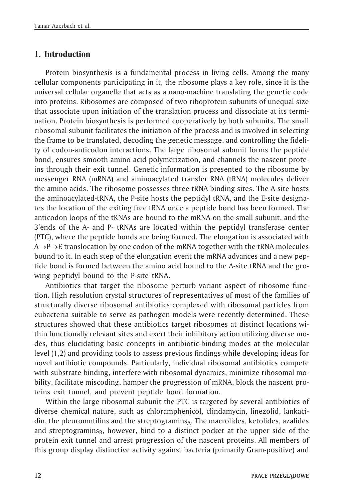# **1. Introduction**

Protein biosynthesis is a fundamental process in living cells. Among the many cellular components participating in it, the ribosome plays a key role, since it is the universal cellular organelle that acts as a nano-machine translating the genetic code into proteins. Ribosomes are composed of two riboprotein subunits of unequal size that associate upon initiation of the translation process and dissociate at its termination. Protein biosynthesis is performed cooperatively by both subunits. The small ribosomal subunit facilitates the initiation of the process and is involved in selecting the frame to be translated, decoding the genetic message, and controlling the fidelity of codon-anticodon interactions. The large ribosomal subunit forms the peptide bond, ensures smooth amino acid polymerization, and channels the nascent proteins through their exit tunnel. Genetic information is presented to the ribosome by messenger RNA (mRNA) and aminoacylated transfer RNA (tRNA) molecules deliver the amino acids. The ribosome possesses three tRNA binding sites. The A-site hosts the aminoacylated-tRNA, the P-site hosts the peptidyl tRNA, and the E-site designates the location of the exiting free tRNA once a peptide bond has been formed. The anticodon loops of the tRNAs are bound to the mRNA on the small subunit, and the 3'ends of the A- and P- tRNAs are located within the peptidyl transferase center (PTC), where the peptide bonds are being formed. The elongation is associated with  $A \rightarrow P \rightarrow E$  translocation by one codon of the mRNA together with the tRNA molecules bound to it. In each step of the elongation event the mRNA advances and a new peptide bond is formed between the amino acid bound to the A-site tRNA and the growing peptidyl bound to the P-site tRNA.

Antibiotics that target the ribosome perturb variant aspect of ribosome function. High resolution crystal structures of representatives of most of the families of structurally diverse ribosomal antibiotics complexed with ribosomal particles from eubacteria suitable to serve as pathogen models were recently determined. These structures showed that these antibiotics target ribosomes at distinct locations within functionally relevant sites and exert their inhibitory action utilizing diverse modes, thus elucidating basic concepts in antibiotic-binding modes at the molecular level (1,2) and providing tools to assess previous findings while developing ideas for novel antibiotic compounds. Particularly, individual ribosomal antibiotics compete with substrate binding, interfere with ribosomal dynamics, minimize ribosomal mobility, facilitate miscoding, hamper the progression of mRNA, block the nascent proteins exit tunnel, and prevent peptide bond formation.

Within the large ribosomal subunit the PTC is targeted by several antibiotics of diverse chemical nature, such as chloramphenicol, clindamycin, linezolid, lankaci- $\sin$ , the pleuromutilins and the streptogramins<sub>A</sub>. The macrolides, ketolides, azalides and streptogramins $_B$ , however, bind to a distinct pocket at the upper side of the protein exit tunnel and arrest progression of the nascent proteins. All members of this group display distinctive activity against bacteria (primarily Gram-positive) and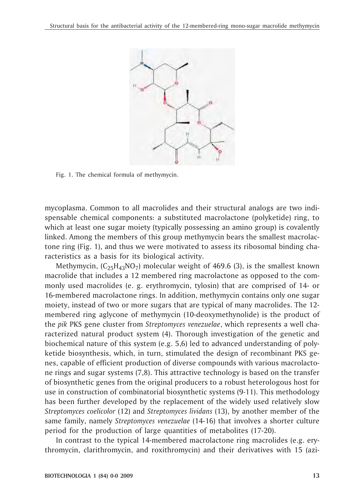

Fig. 1. The chemical formula of methymycin.

mycoplasma. Common to all macrolides and their structural analogs are two indispensable chemical components: a substituted macrolactone (polyketide) ring, to which at least one sugar moiety (typically possessing an amino group) is covalently linked. Among the members of this group methymycin bears the smallest macrolactone ring (Fig. 1), and thus we were motivated to assess its ribosomal binding characteristics as a basis for its biological activity.

Methymycin,  $(C_{25}H_{43}NO_7)$  molecular weight of 469.6 (3), is the smallest known macrolide that includes a 12 membered ring macrolactone as opposed to the commonly used macrolides (e. g. erythromycin, tylosin) that are comprised of 14- or 16-membered macrolactone rings. In addition, methymycin contains only one sugar moiety, instead of two or more sugars that are typical of many macrolides. The 12 membered ring aglycone of methymycin (10-deoxymethynolide) is the product of the *pik* PKS gene cluster from *Streptomyces venezuelae*, which represents a well characterized natural product system (4). Thorough investigation of the genetic and biochemical nature of this system (e.g. 5,6) led to advanced understanding of polyketide biosynthesis, which, in turn, stimulated the design of recombinant PKS genes, capable of efficient production of diverse compounds with various macrolactone rings and sugar systems (7,8). This attractive technology is based on the transfer of biosynthetic genes from the original producers to a robust heterologous host for use in construction of combinatorial biosynthetic systems (9-11). This methodology has been further developed by the replacement of the widely used relatively slow *Streptomyces coelicolor* (12) and *Streptomyces lividans* (13), by another member of the same family, namely *Streptomyces venezuelae* (14-16) that involves a shorter culture period for the production of large quantities of metabolites (17-20).

In contrast to the typical 14-membered macrolactone ring macrolides (e.g. erythromycin, clarithromycin, and roxithromycin) and their derivatives with 15 (azi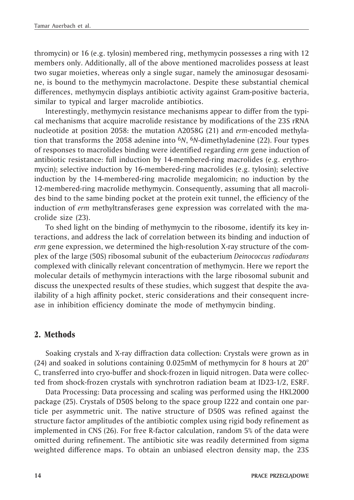thromycin) or 16 (e.g. tylosin) membered ring, methymycin possesses a ring with 12 members only. Additionally, all of the above mentioned macrolides possess at least two sugar moieties, whereas only a single sugar, namely the aminosugar desosamine, is bound to the methymycin macrolactone. Despite these substantial chemical differences, methymycin displays antibiotic activity against Gram-positive bacteria, similar to typical and larger macrolide antibiotics.

Interestingly, methymycin resistance mechanisms appear to differ from the typical mechanisms that acquire macrolide resistance by modifications of the 23S rRNA nucleotide at position 2058: the mutation A2058G (21) and *erm*-encoded methylation that transforms the 2058 adenine into <sup>6</sup>*N*, <sup>6</sup>*N*-dimethyladenine (22). Four types of responses to macrolides binding were identified regarding *erm* gene induction of antibiotic resistance: full induction by 14-membered-ring macrolides (e.g. erythromycin); selective induction by 16-membered-ring macrolides (e.g. tylosin); selective induction by the 14-membered-ring macrolide megalomicin; no induction by the 12-membered-ring macrolide methymycin. Consequently, assuming that all macrolides bind to the same binding pocket at the protein exit tunnel, the efficiency of the induction of *erm* methyltransferases gene expression was correlated with the macrolide size (23).

To shed light on the binding of methymycin to the ribosome, identify its key interactions, and address the lack of correlation between its binding and induction of *erm* gene expression, we determined the high-resolution X-ray structure of the complex of the large (50S) ribosomal subunit of the eubacterium *Deinococcus radiodurans* complexed with clinically relevant concentration of methymycin. Here we report the molecular details of methymycin interactions with the large ribosomal subunit and discuss the unexpected results of these studies, which suggest that despite the availability of a high affinity pocket, steric considerations and their consequent increase in inhibition efficiency dominate the mode of methymycin binding.

# **2. Methods**

Soaking crystals and X-ray diffraction data collection: Crystals were grown as in (24) and soaked in solutions containing 0.025mM of methymycin for 8 hours at 20° C, transferred into cryo-buffer and shock-frozen in liquid nitrogen. Data were collected from shock-frozen crystals with synchrotron radiation beam at ID23-1/2, ESRF.

Data Processing: Data processing and scaling was performed using the HKL2000 package (25). Crystals of D50S belong to the space group I222 and contain one particle per asymmetric unit. The native structure of D50S was refined against the structure factor amplitudes of the antibiotic complex using rigid body refinement as implemented in CNS (26). For free R-factor calculation, random 5% of the data were omitted during refinement. The antibiotic site was readily determined from sigma weighted difference maps. To obtain an unbiased electron density map, the 23S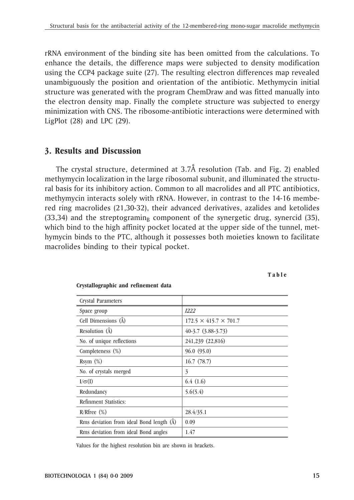rRNA environment of the binding site has been omitted from the calculations. To enhance the details, the difference maps were subjected to density modification using the CCP4 package suite (27). The resulting electron differences map revealed unambiguously the position and orientation of the antibiotic. Methymycin initial structure was generated with the program ChemDraw and was fitted manually into the electron density map. Finally the complete structure was subjected to energy minimization with CNS. The ribosome-antibiotic interactions were determined with LigPlot  $(28)$  and LPC  $(29)$ .

## **3. Results and Discussion**

The crystal structure, determined at 3.7Å resolution (Tab. and Fig. 2) enabled methymycin localization in the large ribosomal subunit, and illuminated the structural basis for its inhibitory action. Common to all macrolides and all PTC antibiotics, methymycin interacts solely with rRNA. However, in contrast to the 14-16 membered ring macrolides (21,30-32), their advanced derivatives, azalides and ketolides  $(33,34)$  and the streptograming component of the synergetic drug, synercid (35), which bind to the high affinity pocket located at the upper side of the tunnel, methymycin binds to the PTC, although it possesses both moieties known to facilitate macrolides binding to their typical pocket.

**T a b l e**

| <b>Crystal Parameters</b>                            |                                   |
|------------------------------------------------------|-----------------------------------|
| Space group                                          | I222                              |
| Cell Dimensions (A)                                  | $172.5 \times 415.7 \times 701.7$ |
| Resolution (A)                                       | $40-3.7$ $(3.88-3.73)$            |
| No. of unique reflections                            | 241,239 (22,816)                  |
| Completeness (%)                                     | 96.0(95.0)                        |
| $Rsym(\%)$                                           | 16.7(78.7)                        |
| No. of crystals merged                               | 3                                 |
| $I/\sigma(I)$                                        | 6.4(1.6)                          |
| Redundancy                                           | 5.6(5.4)                          |
| Refinment Statistics:                                |                                   |
| $R/R$ free $(\%)$                                    | 28.4/35.1                         |
| Rms deviation from ideal Bond length ( $\tilde{A}$ ) | 0.09                              |
| Rms deviation from ideal Bond angles                 | 1.47                              |

#### **Crystallographic and refinement data**

Values for the highest resolution bin are shown in brackets.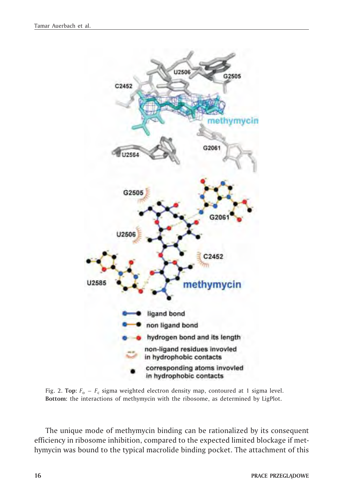

Fig. 2. **Top:**  $F_0 - F_c$  sigma weighted electron density map, contoured at 1 sigma level. **Bottom:** the interactions of methymycin with the ribosome, as determined by LigPlot.

The unique mode of methymycin binding can be rationalized by its consequent efficiency in ribosome inhibition, compared to the expected limited blockage if methymycin was bound to the typical macrolide binding pocket. The attachment of this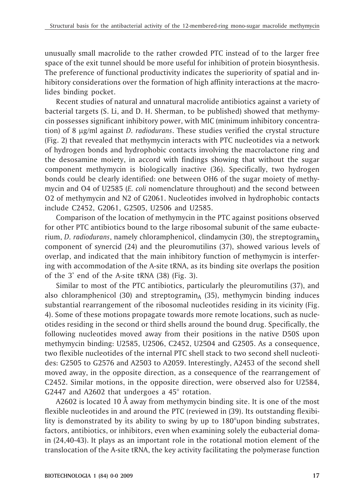unusually small macrolide to the rather crowded PTC instead of to the larger free space of the exit tunnel should be more useful for inhibition of protein biosynthesis. The preference of functional productivity indicates the superiority of spatial and inhibitory considerations over the formation of high affinity interactions at the macrolides binding pocket.

Recent studies of natural and unnatural macrolide antibiotics against a variety of bacterial targets (S. Li, and D. H. Sherman, to be published) showed that methymycin possesses significant inhibitory power, with MIC (minimum inhibitory concentration) of 8 mg/ml against *D. radiodurans*. These studies verified the crystal structure (Fig. 2) that revealed that methymycin interacts with PTC nucleotides via a network of hydrogen bonds and hydrophobic contacts involving the macrolactone ring and the desosamine moiety, in accord with findings showing that without the sugar component methymycin is biologically inactive (36). Specifically, two hydrogen bonds could be clearly identified: one between OH6 of the sugar moiety of methymycin and O4 of U2585 (*E. coli* nomenclature throughout) and the second between O2 of methymycin and N2 of G2061. Nucleotides involved in hydrophobic contacts include C2452, G2061, G2505, U2506 and U2585.

Comparison of the location of methymycin in the PTC against positions observed for other PTC antibiotics bound to the large ribosomal subunit of the same eubacterium, *D. radiodurans*, namely chloramphenicol, clindamycin (30), the streptogramin<sub>A</sub> component of synercid (24) and the pleuromutilins (37), showed various levels of overlap, and indicated that the main inhibitory function of methymycin is interfering with accommodation of the A-site tRNA, as its binding site overlaps the position of the 3' end of the A-site tRNA (38) (Fig. 3).

Similar to most of the PTC antibiotics, particularly the pleuromutilins (37), and also chloramphenicol (30) and streptogramin<sub>A</sub> (35), methymycin binding induces substantial rearrangement of the ribosomal nucleotides residing in its vicinity (Fig. 4). Some of these motions propagate towards more remote locations, such as nucleotides residing in the second or third shells around the bound drug. Specifically, the following nucleotides moved away from their positions in the native D50S upon methymycin binding: U2585, U2506, C2452, U2504 and G2505. As a consequence, two flexible nucleotides of the internal PTC shell stack to two second shell nucleotides: G2505 to G2576 and A2503 to A2059. Interestingly, A2453 of the second shell moved away, in the opposite direction, as a consequence of the rearrangement of C2452. Similar motions, in the opposite direction, were observed also for U2584, G2447 and A2602 that undergoes a 45° rotation.

A2602 is located 10 Å away from methymycin binding site. It is one of the most flexible nucleotides in and around the PTC (reviewed in (39). Its outstanding flexibility is demonstrated by its ability to swing by up to 180°upon binding substrates, factors, antibiotics, or inhibitors, even when examining solely the eubacterial domain (24,40-43). It plays as an important role in the rotational motion element of the translocation of the A-site tRNA, the key activity facilitating the polymerase function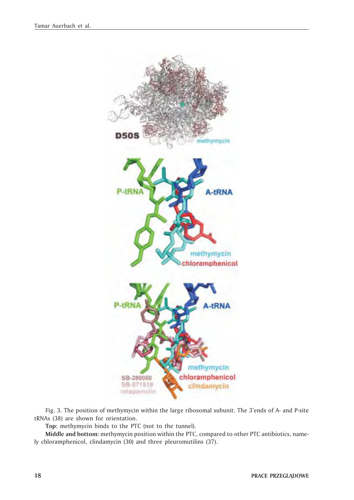

Fig. 3. The position of methymycin within the large ribosomal subunit. The 3'ends of A- and P-site tRNAs (38) are shown for orientation.

**Top:** methymycin binds to the PTC (not to the tunnel).

**Middle and bottom:** methymycin position within the PTC, compared to other PTC antibiotics, namely chloramphenicol, clindamycin (30) and three pleuromutilins (37).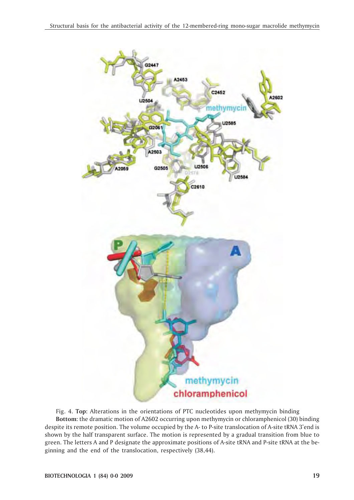

Fig. 4. **Top:** Alterations in the orientations of PTC nucleotides upon methymycin binding **Bottom:** the dramatic motion of A2602 occurring upon methymycin or chloramphenicol (30) binding despite its remote position. The volume occupied by the A- to P-site translocation of A-site tRNA 3'end is shown by the half transparent surface. The motion is represented by a gradual transition from blue to green. The letters A and P designate the approximate positions of A-site tRNA and P-site tRNA at the beginning and the end of the translocation, respectively (38,44).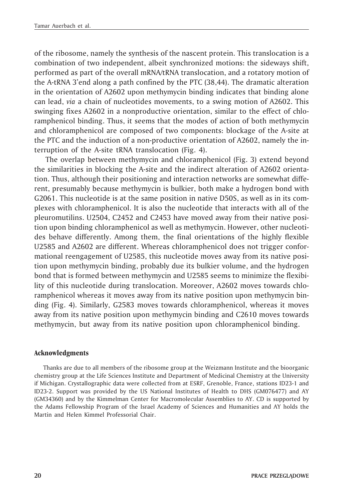of the ribosome, namely the synthesis of the nascent protein. This translocation is a combination of two independent, albeit synchronized motions: the sideways shift, performed as part of the overall mRNA/tRNA translocation, and a rotatory motion of the A-tRNA 3'end along a path confined by the PTC (38,44). The dramatic alteration in the orientation of A2602 upon methymycin binding indicates that binding alone can lead, *via* a chain of nucleotides movements, to a swing motion of A2602. This swinging fixes A2602 in a nonproductive orientation, similar to the effect of chloramphenicol binding. Thus, it seems that the modes of action of both methymycin and chloramphenicol are composed of two components: blockage of the A-site at the PTC and the induction of a non-productive orientation of A2602, namely the interruption of the A-site tRNA translocation (Fig. 4).

The overlap between methymycin and chloramphenicol (Fig. 3) extend beyond the similarities in blocking the A-site and the indirect alteration of A2602 orientation. Thus, although their positioning and interaction networks are somewhat different, presumably because methymycin is bulkier, both make a hydrogen bond with G2061. This nucleotide is at the same position in native D50S, as well as in its complexes with chloramphenicol. It is also the nucleotide that interacts with all of the pleuromutilins. U2504, C2452 and C2453 have moved away from their native position upon binding chloramphenicol as well as methymycin. However, other nucleotides behave differently. Among them, the final orientations of the highly flexible U2585 and A2602 are different. Whereas chloramphenicol does not trigger conformational reengagement of U2585, this nucleotide moves away from its native position upon methymycin binding, probably due its bulkier volume, and the hydrogen bond that is formed between methymycin and U2585 seems to minimize the flexibility of this nucleotide during translocation. Moreover, A2602 moves towards chloramphenicol whereas it moves away from its native position upon methymycin binding (Fig. 4). Similarly, G2583 moves towards chloramphenicol, whereas it moves away from its native position upon methymycin binding and C2610 moves towards methymycin, but away from its native position upon chloramphenicol binding.

### **Acknowledgments**

Thanks are due to all members of the ribosome group at the Weizmann Institute and the bioorganic chemistry group at the Life Sciences Institute and Department of Medicinal Chemistry at the University if Michigan. Crystallographic data were collected from at ESRF, Grenoble, France, stations ID23-1 and ID23-2. Support was provided by the US National Institutes of Health to DHS (GM076477) and AY (GM34360) and by the Kimmelman Center for Macromolecular Assemblies to AY. CD is supported by the Adams Fellowship Program of the Israel Academy of Sciences and Humanities and AY holds the Martin and Helen Kimmel Professorial Chair.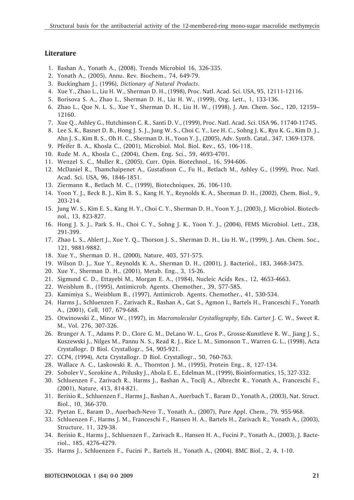#### **Literature**

- 1. Bashan A., Yonath A., (2008), Trends Microbiol 16, 326-335.
- 2. Yonath A., (2005), Annu. Rev. Biochem., 74, 649-79.
- 3. Buckingham J., (1996), *Dictionary of Natural Products*.
- 4. Xue Y., Zhao L., Liu H. W., Sherman D. H., (1998), Proc. Natl. Acad. Sci. USA, 95, 12111-12116.
- 5. Borisova S. A., Zhao L., Sherman D. H., Liu H. W., (1999), Org. Lett., 1, 133-136.
- 6. Zhao L., Que N. L. S., Xue Y., Sherman D. H., Liu H. W., (1998), J. Am. Chem. Soc., 120, 12159– 12160.
- 7. Xue Q., Ashley G., Hutchinson C. R., Santi D. V., (1999), Proc. Natl. Acad. Sci. USA 96, 11740-11745.
- 8. Lee S. K., Basnet D. B., Hong J. S. J., Jung W. S., Choi C. Y., Lee H. C., Sohng J. K., Ryu K. G., Kim D. J., Ahn J. S., Kim B. S., Oh H. C., Sherman D. H., Yoon Y. J., (2005), Adv. Synth. Catal., 347, 1369-1378.
- 9. Pfeifer B. A., Khosla C., (2001), Microbiol. Mol. Biol. Rev., 65, 106-118.
- 10. Rude M. A., Khosla C., (2004), Chem. Eng. Sci., 59, 4693-4701.
- 11. Wenzel S. C., Muller R., (2005), Curr. Opin. Biotechnol., 16, 594-606.
- 12. McDaniel R., Thamchaipenet A., Gustafsson C., Fu H., Betlach M., Ashley G., (1999), Proc. Natl. Acad. Sci. USA, 96, 1846-1851.
- 13. Ziermann R., Betlach M. C., (1999), Biotechniques, 26, 106-110.
- 14. Yoon Y. J., Beck B. J., Kim B. S., Kang H. Y., Reynolds K. A., Sherman D. H., (2002), Chem. Biol., 9, 203-214.
- 15. Jung W. S., Kim E. S., Kang H. Y., Choi C. Y., Sherman D. H., Yoon Y. J., (2003), J. Microbiol. Biotechnol., 13, 823-827.
- 16. Hong J. S. J., Park S. H., Choi C. Y., Sohng J. K., Yoon Y. J., (2004), FEMS Microbiol. Lett., 238, 291-399.
- 17. Zhao L. S., Ahlert J., Xue Y. Q., Thorson J. S., Sherman D. H., Liu H. W., (1999), J. Am. Chem. Soc., 121, 9881-9882.
- 18. Xue Y., Sherman D. H., (2000), Nature, 403, 571-575.
- 19. Wilson D. J., Xue Y., Reynolds K. A., Sherman D. H., (2001), J. Bacteriol., 183, 3468-3475.
- 20. Xue Y., Sherman D. H., (2001), Metab. Eng., 3, 15-26.
- 21. Sigmund C. D., Ettayebi M., Morgan E. A., (1984), Nucleic Acids Res., 12, 4653-4663.
- 22. Weisblum B., (1995), Antimicrob. Agents. Chemother., 39, 577-585.
- 23. Kamimiya S., Weisblum B., (1997), Antimicrob. Agents. Chemother., 41, 530-534.
- 24. Harms J., Schluenzen F., Zarivach R., Bashan A., Gat S., Agmon I., Bartels H., Franceschi F., Yonath A., (2001), Cell, 107, 679-688.
- 25. Otwinowski Z., Minor W., (1997), in: *Macromolecular Crystallography,* Eds. Carter J. C. W., Sweet R. M., Vol. 276, 307-326.
- 26. Brunger A. T., Adams P. D., Clore G. M., DeLano W. L., Gros P., Grosse-Kunstleve R. W., Jiang J. S., Kuszewski J., Nilges M., Pannu N. S., Read R. J., Rice L. M., Simonson T., Warren G. L., (1998), Acta Crystallogr. D Biol. Crystallogr., 54, 905-921.
- 27. CCP4, (1994), Acta Crystallogr. D Biol. Crystallogr., 50, 760-763.
- 28. Wallace A. C., Laskowski R. A., Thornton J. M., (1995), Protein Eng., 8, 127-134.
- 29. Sobolev V., Sorokine A., Prilusky J., Abola E. E., Edelman M., (1999), Bioinformatics, 15, 327-332.
- 30. Schluenzen F., Zarivach R., Harms J., Bashan A., Tocilj A., Albrecht R., Yonath A., Franceschi F., (2001), Nature, 413, 814-821.
- 31. Berisio R., Schluenzen F., Harms J., Bashan A., Auerbach T., Baram D., Yonath A., (2003), Nat. Struct. Biol., 10, 366-370.
- 32. Pyetan E., Baram D., Auerbach-Nevo T., Yonath A., (2007), Pure Appl. Chem., 79, 955-968.
- 33. Schluenzen F., Harms J. M., Franceschi F., Hansen H. A., Bartels H., Zarivach R., Yonath A., (2003), Structure, 11, 329-38.
- 34. Berisio R., Harms J., Schluenzen F., Zarivach R., Hansen H. A., Fucini P., Yonath A., (2003), J. Bacteriol., 185, 4276-4279.
- 35. Harms J., Schluenzen F., Fucini P., Bartels H., Yonath A., (2004), BMC Biol., 2, 4, 1-10.